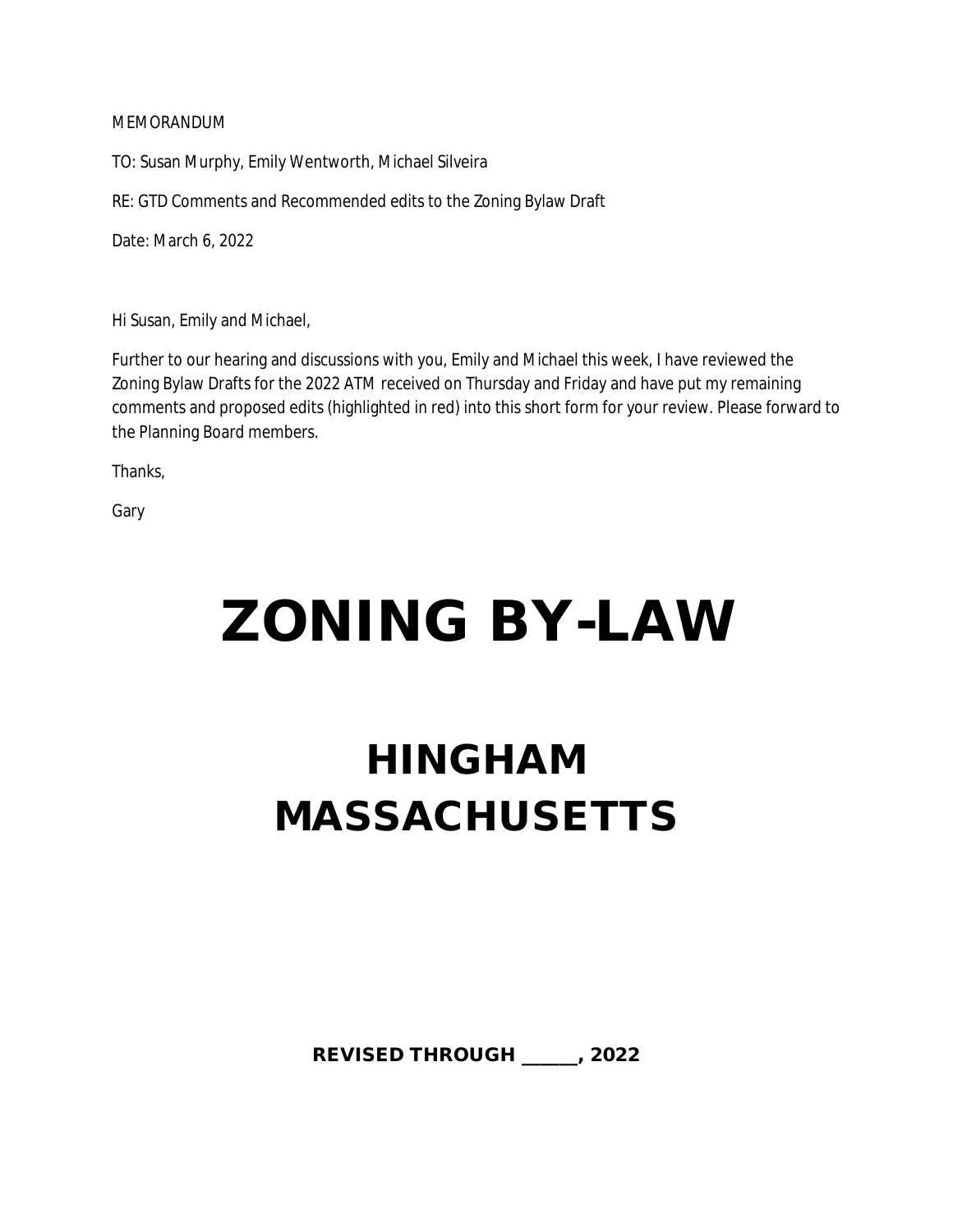# MEMORANDUM

TO: Susan Murphy, Emily Wentworth, Michael Silveira

RE: GTD Comments and Recommended edits to the Zoning Bylaw Draft

Date: March 6, 2022

Hi Susan, Emily and Michael,

Further to our hearing and discussions with you, Emily and Michael this week, I have reviewed the Zoning Bylaw Drafts for the 2022 ATM received on Thursday and Friday and have put my remaining comments and proposed edits (highlighted in red) into this short form for your review. Please forward to the Planning Board members.

Thanks,

Gary

# **ZONING BY-LAW**

# **HINGHAM MASSACHUSETTS**

**REVISED THROUGH \_\_\_\_\_\_, 2022**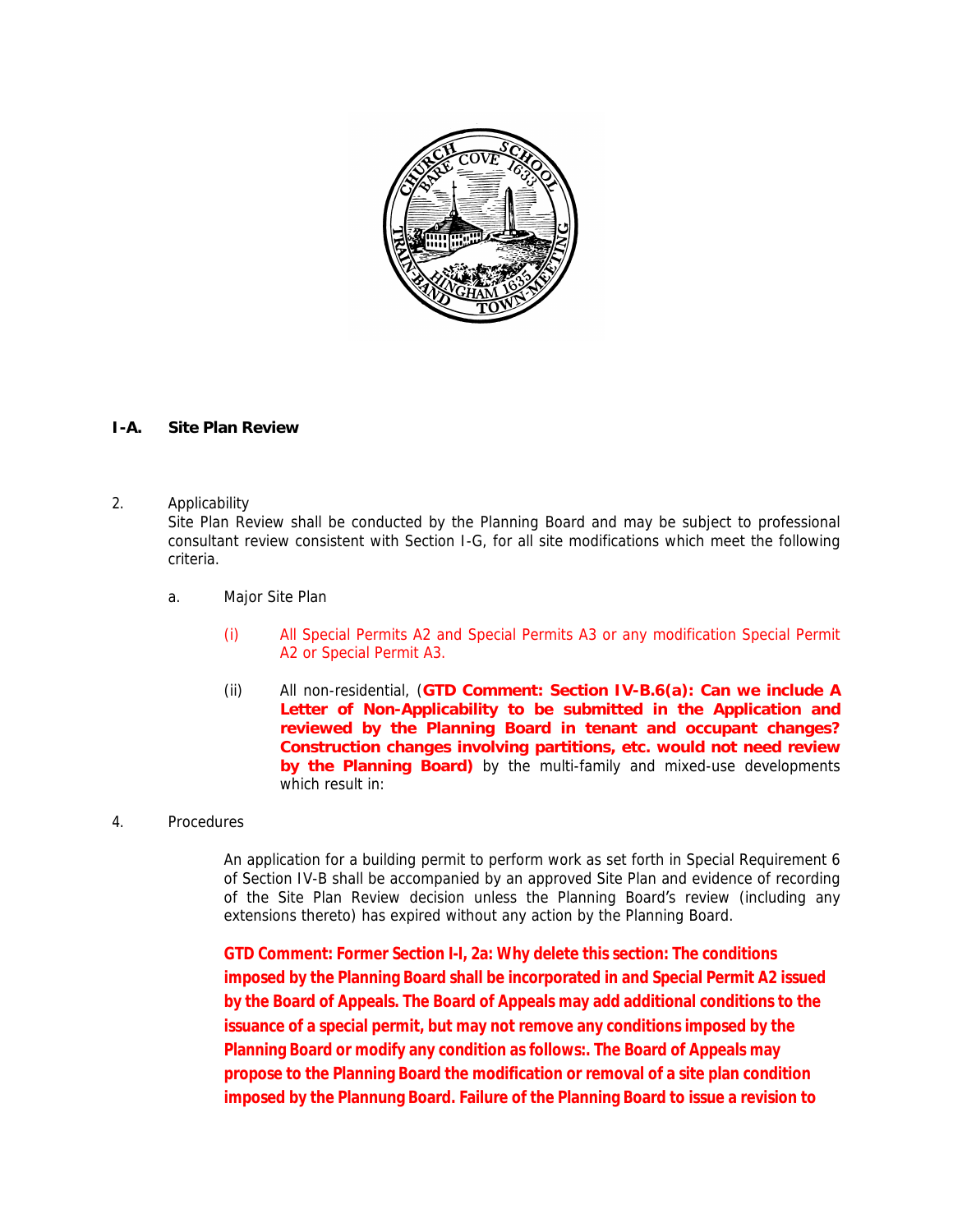

### **I-A. Site Plan Review**

#### 2. Applicability

Site Plan Review shall be conducted by the Planning Board and may be subject to professional consultant review consistent with Section I-G, for all site modifications which meet the following criteria.

- a. Major Site Plan
	- (i) All Special Permits A2 and Special Permits A3 or any modification Special Permit A2 or Special Permit A3.
	- (ii) All non-residential, (**GTD Comment: Section IV-B.6(a): Can we include A Letter of Non-Applicability to be submitted in the Application and reviewed by the Planning Board in tenant and occupant changes? Construction changes involving partitions, etc. would not need review by the Planning Board)** by the multi-family and mixed-use developments which result in:

#### 4. Procedures

An application for a building permit to perform work as set forth in Special Requirement 6 of Section IV-B shall be accompanied by an approved Site Plan and evidence of recording of the Site Plan Review decision unless the Planning Board's review (including any extensions thereto) has expired without any action by the Planning Board.

**GTD Comment: Former Section I-I, 2a: Why delete this section: The conditions imposed by the Planning Board shall be incorporated in and Special Permit A2 issued by the Board of Appeals. The Board of Appeals may add additional conditions to the issuance of a special permit, but may not remove any conditions imposed by the Planning Board or modify any condition as follows:. The Board of Appeals may propose to the Planning Board the modification or removal of a site plan condition imposed by the Plannung Board. Failure of the Planning Board to issue a revision to**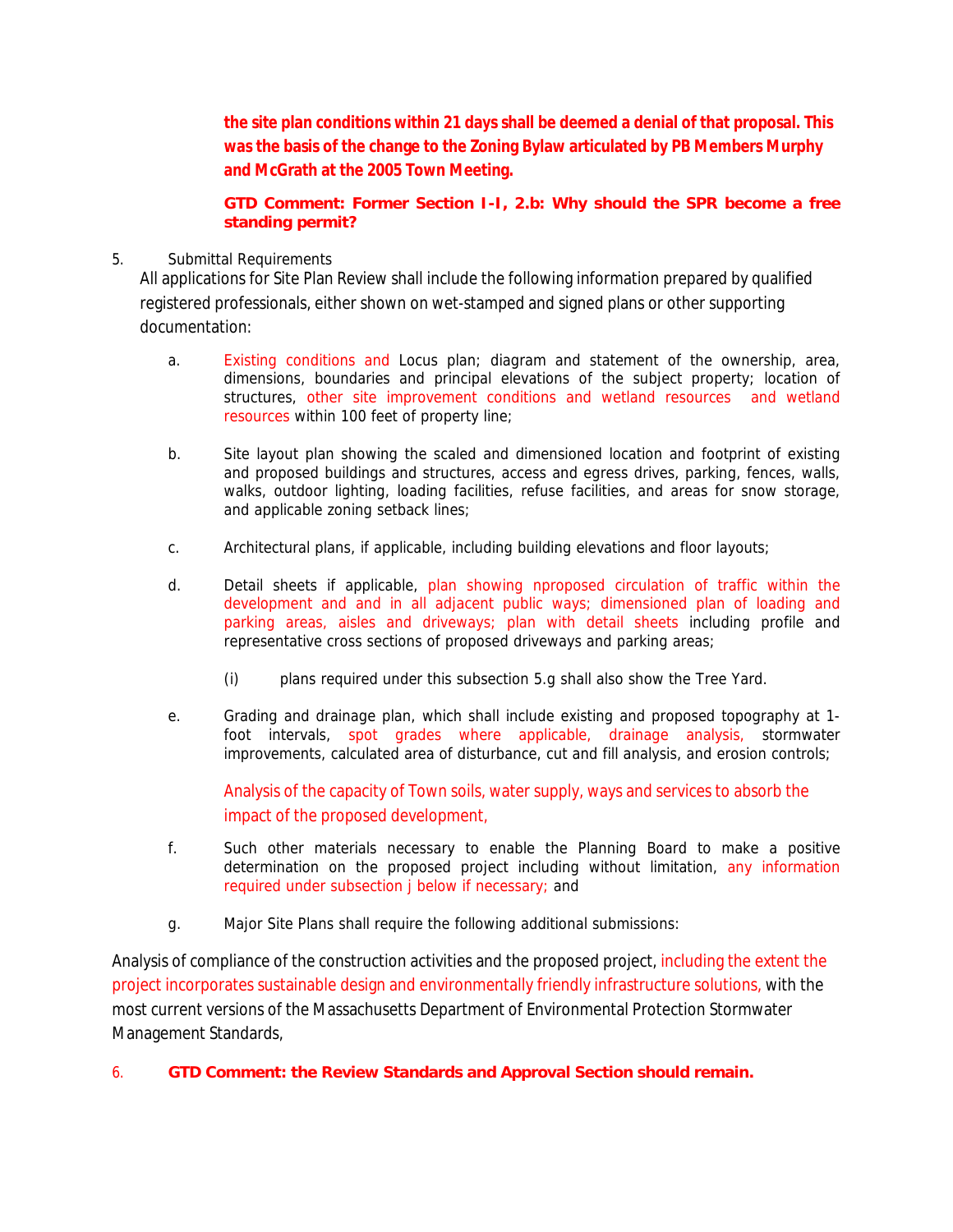**the site plan conditions within 21 days shall be deemed a denial of that proposal. This was the basis of the change to the Zoning Bylaw articulated by PB Members Murphy and McGrath at the 2005 Town Meeting.**

**GTD Comment: Former Section I-I, 2.b: Why should the SPR become a free standing permit?**

## 5. Submittal Requirements

All applications for Site Plan Review shall include the following information prepared by qualified registered professionals, either shown on wet-stamped and signed plans or other supporting documentation:

- a. Existing conditions and Locus plan; diagram and statement of the ownership, area, dimensions, boundaries and principal elevations of the subject property; location of structures, other site improvement conditions and wetland resources and wetland resources within 100 feet of property line;
- b. Site layout plan showing the scaled and dimensioned location and footprint of existing and proposed buildings and structures, access and egress drives, parking, fences, walls, walks, outdoor lighting, loading facilities, refuse facilities, and areas for snow storage, and applicable zoning setback lines;
- c. Architectural plans, if applicable, including building elevations and floor layouts;
- d. Detail sheets if applicable, plan showing nproposed circulation of traffic within the development and and in all adjacent public ways; dimensioned plan of loading and parking areas, aisles and driveways; plan with detail sheets including profile and representative cross sections of proposed driveways and parking areas;
	- (i) plans required under this subsection 5.g shall also show the Tree Yard.
- e. Grading and drainage plan, which shall include existing and proposed topography at 1 foot intervals, spot grades where applicable, drainage analysis, stormwater improvements, calculated area of disturbance, cut and fill analysis, and erosion controls;

Analysis of the capacity of Town soils, water supply, ways and services to absorb the impact of the proposed development,

- f. Such other materials necessary to enable the Planning Board to make a positive determination on the proposed project including without limitation, any information required under subsection j below if necessary; and
- g. Major Site Plans shall require the following additional submissions:

Analysis of compliance of the construction activities and the proposed project, including the extent the project incorporates sustainable design and environmentally friendly infrastructure solutions, with the most current versions of the Massachusetts Department of Environmental Protection Stormwater Management Standards,

6. **GTD Comment: the Review Standards and Approval Section should remain.**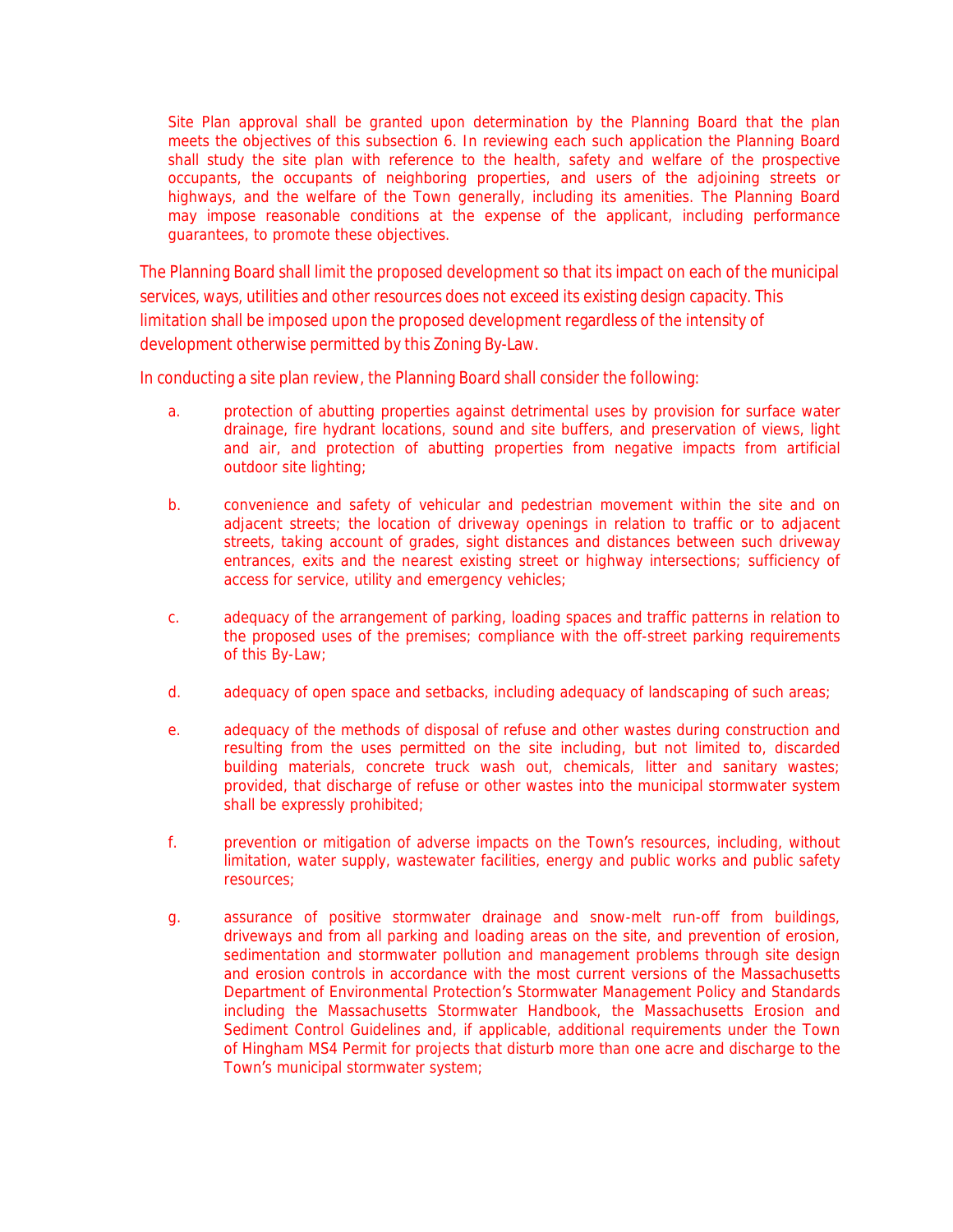Site Plan approval shall be granted upon determination by the Planning Board that the plan meets the objectives of this subsection 6. In reviewing each such application the Planning Board shall study the site plan with reference to the health, safety and welfare of the prospective occupants, the occupants of neighboring properties, and users of the adjoining streets or highways, and the welfare of the Town generally, including its amenities. The Planning Board may impose reasonable conditions at the expense of the applicant, including performance guarantees, to promote these objectives.

The Planning Board shall limit the proposed development so that its impact on each of the municipal services, ways, utilities and other resources does not exceed its existing design capacity. This limitation shall be imposed upon the proposed development regardless of the intensity of development otherwise permitted by this Zoning By-Law.

In conducting a site plan review, the Planning Board shall consider the following:

- a. protection of abutting properties against detrimental uses by provision for surface water drainage, fire hydrant locations, sound and site buffers, and preservation of views, light and air, and protection of abutting properties from negative impacts from artificial outdoor site lighting;
- b. convenience and safety of vehicular and pedestrian movement within the site and on adjacent streets; the location of driveway openings in relation to traffic or to adjacent streets, taking account of grades, sight distances and distances between such driveway entrances, exits and the nearest existing street or highway intersections; sufficiency of access for service, utility and emergency vehicles;
- c. adequacy of the arrangement of parking, loading spaces and traffic patterns in relation to the proposed uses of the premises; compliance with the off-street parking requirements of this By-Law;
- d. adequacy of open space and setbacks, including adequacy of landscaping of such areas;
- e. adequacy of the methods of disposal of refuse and other wastes during construction and resulting from the uses permitted on the site including, but not limited to, discarded building materials, concrete truck wash out, chemicals, litter and sanitary wastes; provided, that discharge of refuse or other wastes into the municipal stormwater system shall be expressly prohibited;
- f. prevention or mitigation of adverse impacts on the Town's resources, including, without limitation, water supply, wastewater facilities, energy and public works and public safety resources;
- g. assurance of positive stormwater drainage and snow-melt run-off from buildings, driveways and from all parking and loading areas on the site, and prevention of erosion, sedimentation and stormwater pollution and management problems through site design and erosion controls in accordance with the most current versions of the Massachusetts Department of Environmental Protection's Stormwater Management Policy and Standards including the Massachusetts Stormwater Handbook, the Massachusetts Erosion and Sediment Control Guidelines and, if applicable, additional requirements under the Town of Hingham MS4 Permit for projects that disturb more than one acre and discharge to the Town's municipal stormwater system;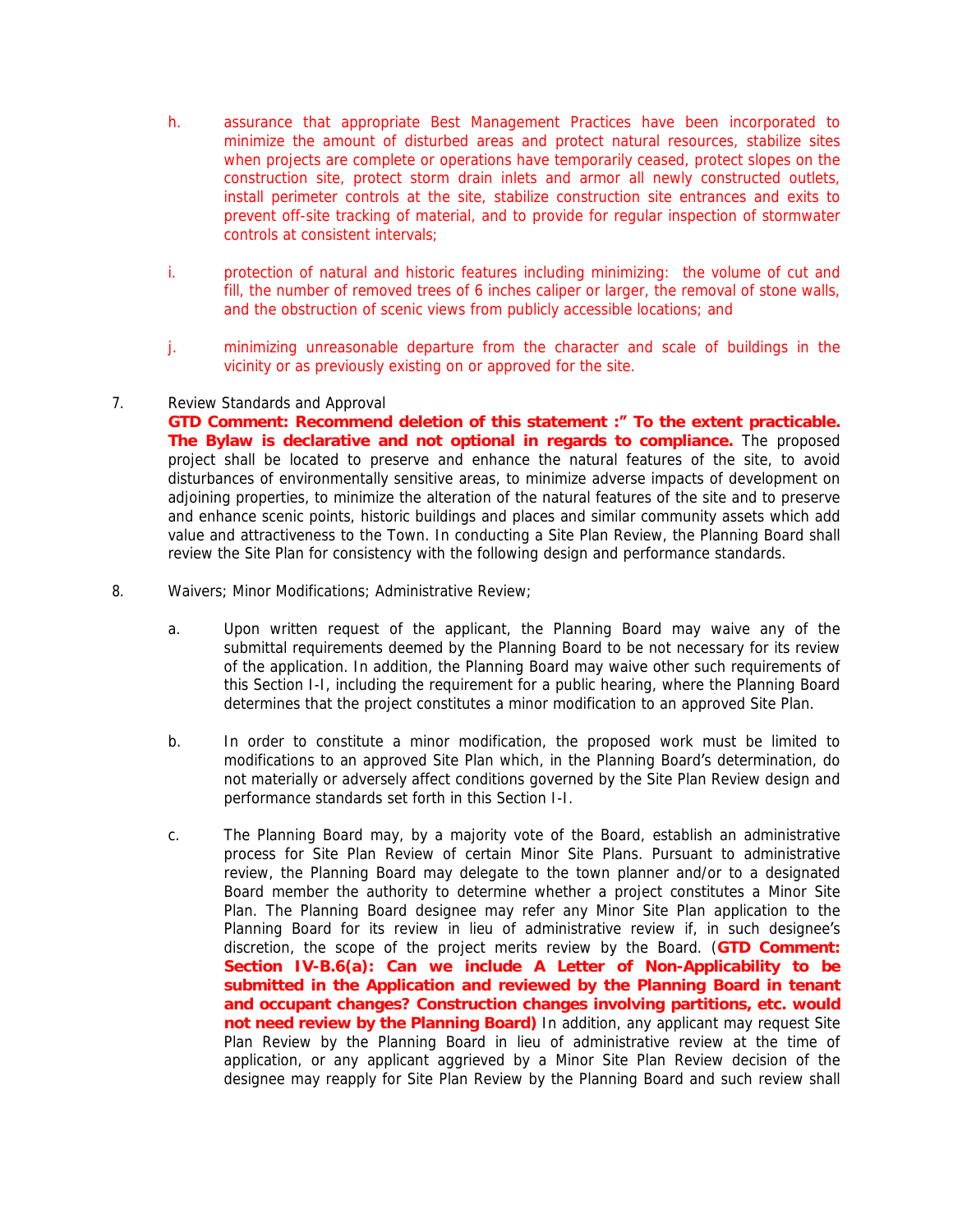- h. assurance that appropriate Best Management Practices have been incorporated to minimize the amount of disturbed areas and protect natural resources, stabilize sites when projects are complete or operations have temporarily ceased, protect slopes on the construction site, protect storm drain inlets and armor all newly constructed outlets, install perimeter controls at the site, stabilize construction site entrances and exits to prevent off-site tracking of material, and to provide for regular inspection of stormwater controls at consistent intervals;
- i. protection of natural and historic features including minimizing: the volume of cut and fill, the number of removed trees of 6 inches caliper or larger, the removal of stone walls, and the obstruction of scenic views from publicly accessible locations; and
- j. minimizing unreasonable departure from the character and scale of buildings in the vicinity or as previously existing on or approved for the site.

#### 7. Review Standards and Approval

**GTD Comment: Recommend deletion of this statement :" To the extent practicable. The Bylaw is declarative and not optional in regards to compliance.** The proposed project shall be located to preserve and enhance the natural features of the site, to avoid disturbances of environmentally sensitive areas, to minimize adverse impacts of development on adjoining properties, to minimize the alteration of the natural features of the site and to preserve and enhance scenic points, historic buildings and places and similar community assets which add value and attractiveness to the Town. In conducting a Site Plan Review, the Planning Board shall review the Site Plan for consistency with the following design and performance standards.

- 8. Waivers; Minor Modifications; Administrative Review;
	- a. Upon written request of the applicant, the Planning Board may waive any of the submittal requirements deemed by the Planning Board to be not necessary for its review of the application. In addition, the Planning Board may waive other such requirements of this Section I-I, including the requirement for a public hearing, where the Planning Board determines that the project constitutes a minor modification to an approved Site Plan.
	- b. In order to constitute a minor modification, the proposed work must be limited to modifications to an approved Site Plan which, in the Planning Board's determination, do not materially or adversely affect conditions governed by the Site Plan Review design and performance standards set forth in this Section I-I.
	- c. The Planning Board may, by a majority vote of the Board, establish an administrative process for Site Plan Review of certain Minor Site Plans. Pursuant to administrative review, the Planning Board may delegate to the town planner and/or to a designated Board member the authority to determine whether a project constitutes a Minor Site Plan. The Planning Board designee may refer any Minor Site Plan application to the Planning Board for its review in lieu of administrative review if, in such designee's discretion, the scope of the project merits review by the Board. (**GTD Comment: Section IV-B.6(a): Can we include A Letter of Non-Applicability to be submitted in the Application and reviewed by the Planning Board in tenant and occupant changes? Construction changes involving partitions, etc. would not need review by the Planning Board)** In addition, any applicant may request Site Plan Review by the Planning Board in lieu of administrative review at the time of application, or any applicant aggrieved by a Minor Site Plan Review decision of the designee may reapply for Site Plan Review by the Planning Board and such review shall